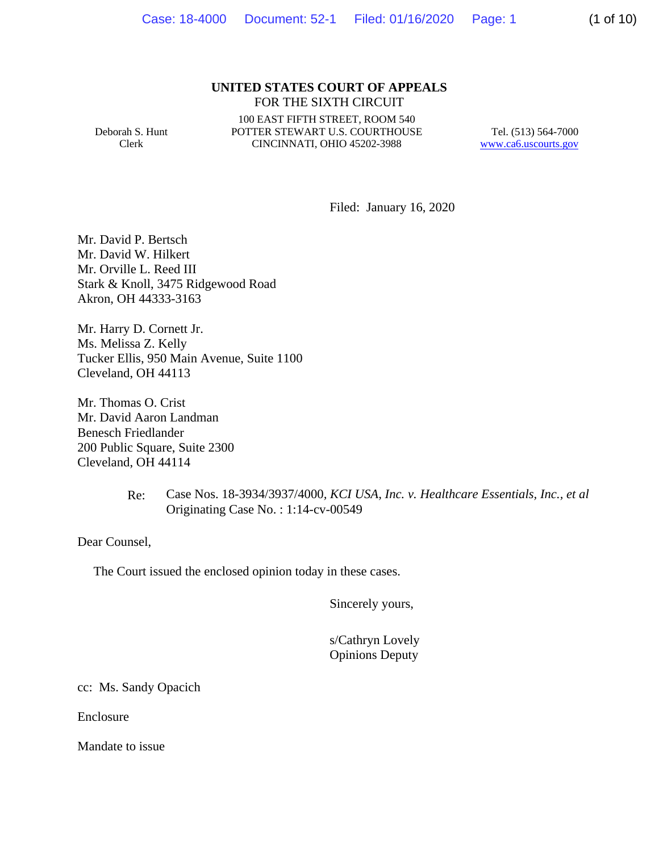### **UNITED STATES COURT OF APPEALS** FOR THE SIXTH CIRCUIT

Deborah S. Hunt Clerk

100 EAST FIFTH STREET, ROOM 540 POTTER STEWART U.S. COURTHOUSE CINCINNATI, OHIO 45202-3988

Tel. (513) 564-7000 www.ca6.uscourts.gov

Filed: January 16, 2020

Mr. David P. Bertsch Mr. David W. Hilkert Mr. Orville L. Reed III Stark & Knoll, 3475 Ridgewood Road Akron, OH 44333-3163

Mr. Harry D. Cornett Jr. Ms. Melissa Z. Kelly Tucker Ellis, 950 Main Avenue, Suite 1100 Cleveland, OH 44113

Mr. Thomas O. Crist Mr. David Aaron Landman Benesch Friedlander 200 Public Square, Suite 2300 Cleveland, OH 44114

# Re: Case Nos. 18-3934/3937/4000*, KCI USA, Inc. v. Healthcare Essentials, Inc., et al* Originating Case No. : 1:14-cv-00549

Dear Counsel,

The Court issued the enclosed opinion today in these cases.

Sincerely yours,

 s/Cathryn Lovely Opinions Deputy

cc: Ms. Sandy Opacich

Enclosure

Mandate to issue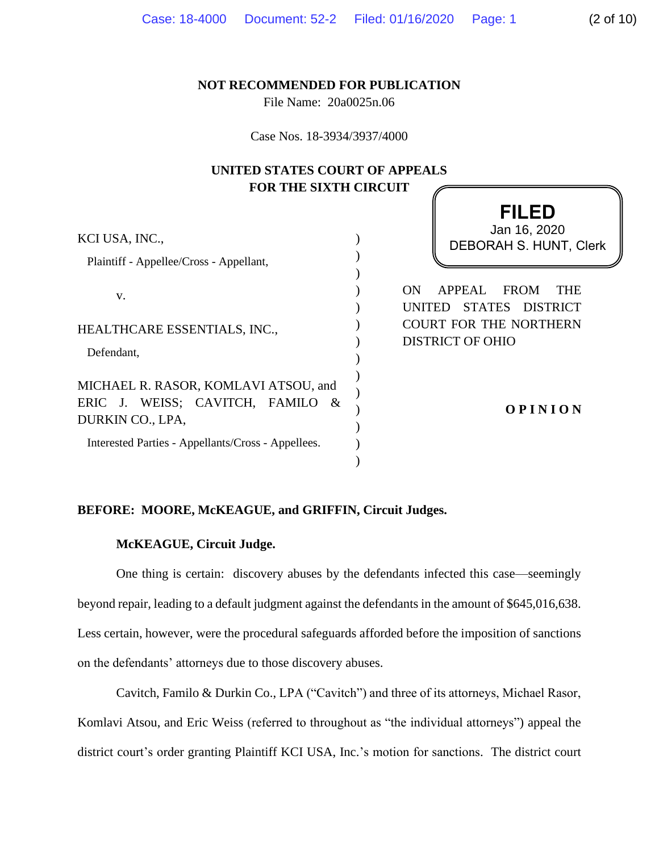## **NOT RECOMMENDED FOR PUBLICATION**

File Name: 20a0025n.06

Case Nos. 18-3934/3937/4000

# **UNITED STATES COURT OF APPEALS FOR THE SIXTH CIRCUIT**

| KCI USA, INC.,<br>Plaintiff - Appellee/Cross - Appellant,                                                                                          | <b>FILED</b><br>Jan 16, 2020<br>DEBORAH S. HUNT, Clerk                                                                                     |
|----------------------------------------------------------------------------------------------------------------------------------------------------|--------------------------------------------------------------------------------------------------------------------------------------------|
| V.<br>HEALTHCARE ESSENTIALS, INC.,<br>Defendant,                                                                                                   | <b>FROM</b><br>APPEAL<br><b>THE</b><br>ON.<br>STATES DISTRICT<br><b>UNITED</b><br><b>COURT FOR THE NORTHERN</b><br><b>DISTRICT OF OHIO</b> |
| MICHAEL R. RASOR, KOMLAVI ATSOU, and<br>ERIC J. WEISS; CAVITCH, FAMILO &<br>DURKIN CO., LPA,<br>Interested Parties - Appellants/Cross - Appellees. | <b>OPINION</b>                                                                                                                             |

# **BEFORE: MOORE, McKEAGUE, and GRIFFIN, Circuit Judges.**

# **McKEAGUE, Circuit Judge.**

One thing is certain: discovery abuses by the defendants infected this case—seemingly beyond repair, leading to a default judgment against the defendants in the amount of \$645,016,638. Less certain, however, were the procedural safeguards afforded before the imposition of sanctions on the defendants' attorneys due to those discovery abuses.

Cavitch, Familo & Durkin Co., LPA ("Cavitch") and three of its attorneys, Michael Rasor, Komlavi Atsou, and Eric Weiss (referred to throughout as "the individual attorneys") appeal the district court's order granting Plaintiff KCI USA, Inc.'s motion for sanctions. The district court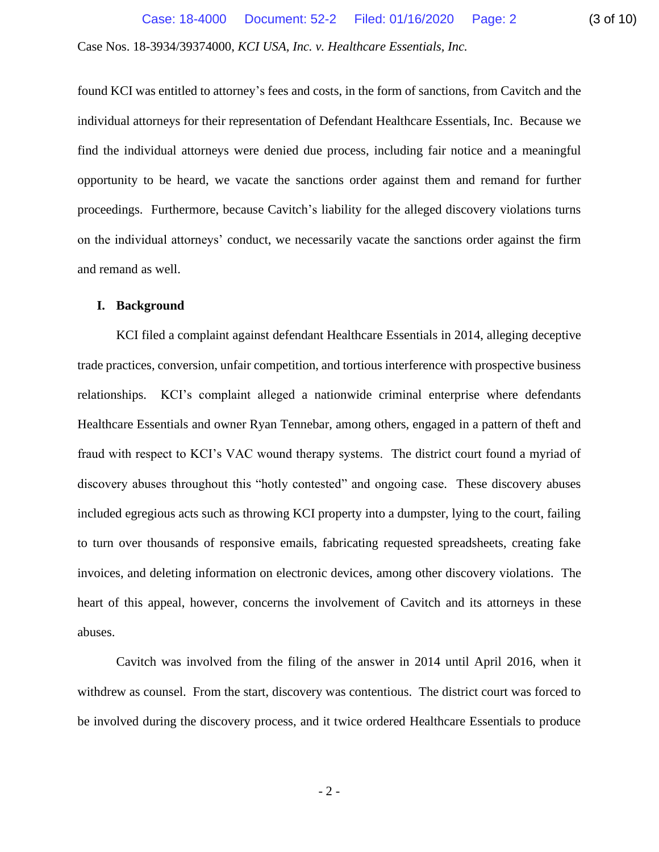found KCI was entitled to attorney's fees and costs, in the form of sanctions, from Cavitch and the individual attorneys for their representation of Defendant Healthcare Essentials, Inc. Because we find the individual attorneys were denied due process, including fair notice and a meaningful opportunity to be heard, we vacate the sanctions order against them and remand for further proceedings. Furthermore, because Cavitch's liability for the alleged discovery violations turns on the individual attorneys' conduct, we necessarily vacate the sanctions order against the firm and remand as well.

### **I. Background**

KCI filed a complaint against defendant Healthcare Essentials in 2014, alleging deceptive trade practices, conversion, unfair competition, and tortious interference with prospective business relationships. KCI's complaint alleged a nationwide criminal enterprise where defendants Healthcare Essentials and owner Ryan Tennebar, among others, engaged in a pattern of theft and fraud with respect to KCI's VAC wound therapy systems. The district court found a myriad of discovery abuses throughout this "hotly contested" and ongoing case. These discovery abuses included egregious acts such as throwing KCI property into a dumpster, lying to the court, failing to turn over thousands of responsive emails, fabricating requested spreadsheets, creating fake invoices, and deleting information on electronic devices, among other discovery violations. The heart of this appeal, however, concerns the involvement of Cavitch and its attorneys in these abuses.

Cavitch was involved from the filing of the answer in 2014 until April 2016, when it withdrew as counsel. From the start, discovery was contentious. The district court was forced to be involved during the discovery process, and it twice ordered Healthcare Essentials to produce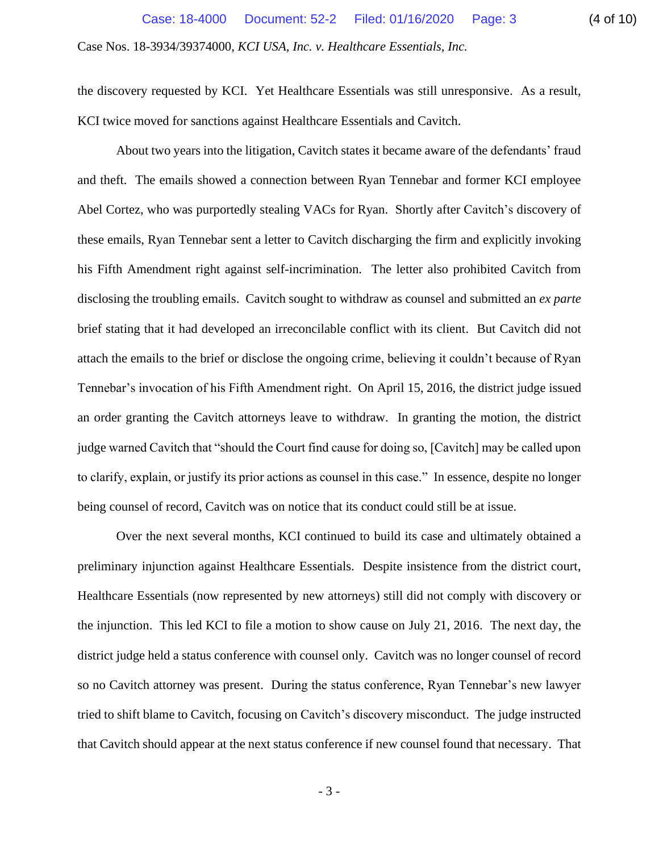the discovery requested by KCI. Yet Healthcare Essentials was still unresponsive. As a result, KCI twice moved for sanctions against Healthcare Essentials and Cavitch.

About two years into the litigation, Cavitch states it became aware of the defendants' fraud and theft. The emails showed a connection between Ryan Tennebar and former KCI employee Abel Cortez, who was purportedly stealing VACs for Ryan. Shortly after Cavitch's discovery of these emails, Ryan Tennebar sent a letter to Cavitch discharging the firm and explicitly invoking his Fifth Amendment right against self-incrimination. The letter also prohibited Cavitch from disclosing the troubling emails. Cavitch sought to withdraw as counsel and submitted an *ex parte* brief stating that it had developed an irreconcilable conflict with its client. But Cavitch did not attach the emails to the brief or disclose the ongoing crime, believing it couldn't because of Ryan Tennebar's invocation of his Fifth Amendment right. On April 15, 2016, the district judge issued an order granting the Cavitch attorneys leave to withdraw. In granting the motion, the district judge warned Cavitch that "should the Court find cause for doing so, [Cavitch] may be called upon to clarify, explain, or justify its prior actions as counsel in this case." In essence, despite no longer being counsel of record, Cavitch was on notice that its conduct could still be at issue.

Over the next several months, KCI continued to build its case and ultimately obtained a preliminary injunction against Healthcare Essentials. Despite insistence from the district court, Healthcare Essentials (now represented by new attorneys) still did not comply with discovery or the injunction. This led KCI to file a motion to show cause on July 21, 2016. The next day, the district judge held a status conference with counsel only. Cavitch was no longer counsel of record so no Cavitch attorney was present. During the status conference, Ryan Tennebar's new lawyer tried to shift blame to Cavitch, focusing on Cavitch's discovery misconduct. The judge instructed that Cavitch should appear at the next status conference if new counsel found that necessary. That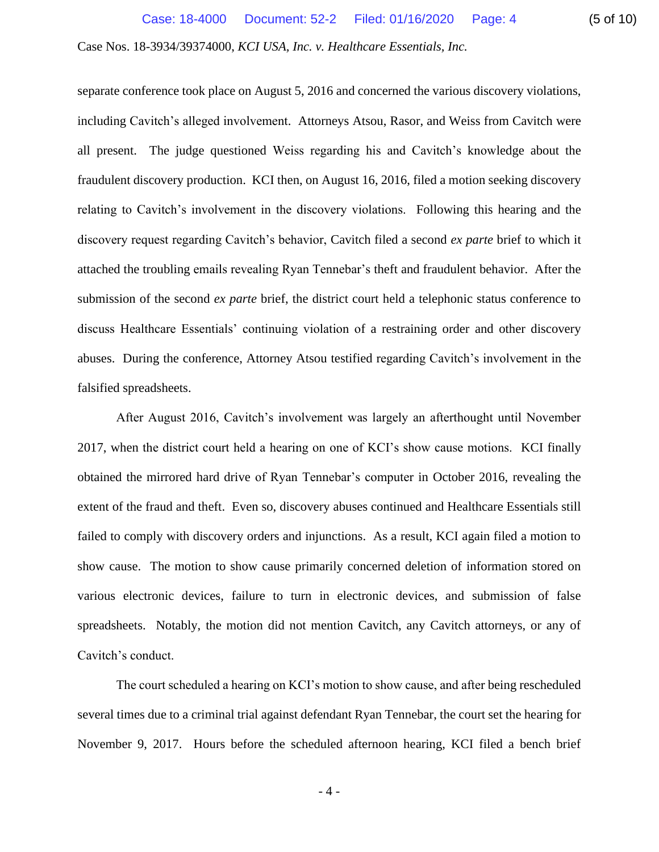separate conference took place on August 5, 2016 and concerned the various discovery violations, including Cavitch's alleged involvement. Attorneys Atsou, Rasor, and Weiss from Cavitch were all present. The judge questioned Weiss regarding his and Cavitch's knowledge about the fraudulent discovery production. KCI then, on August 16, 2016, filed a motion seeking discovery relating to Cavitch's involvement in the discovery violations. Following this hearing and the discovery request regarding Cavitch's behavior, Cavitch filed a second *ex parte* brief to which it attached the troubling emails revealing Ryan Tennebar's theft and fraudulent behavior. After the submission of the second *ex parte* brief, the district court held a telephonic status conference to discuss Healthcare Essentials' continuing violation of a restraining order and other discovery abuses. During the conference, Attorney Atsou testified regarding Cavitch's involvement in the falsified spreadsheets.

After August 2016, Cavitch's involvement was largely an afterthought until November 2017, when the district court held a hearing on one of KCI's show cause motions. KCI finally obtained the mirrored hard drive of Ryan Tennebar's computer in October 2016, revealing the extent of the fraud and theft. Even so, discovery abuses continued and Healthcare Essentials still failed to comply with discovery orders and injunctions. As a result, KCI again filed a motion to show cause. The motion to show cause primarily concerned deletion of information stored on various electronic devices, failure to turn in electronic devices, and submission of false spreadsheets. Notably, the motion did not mention Cavitch, any Cavitch attorneys, or any of Cavitch's conduct.

The court scheduled a hearing on KCI's motion to show cause, and after being rescheduled several times due to a criminal trial against defendant Ryan Tennebar, the court set the hearing for November 9, 2017. Hours before the scheduled afternoon hearing, KCI filed a bench brief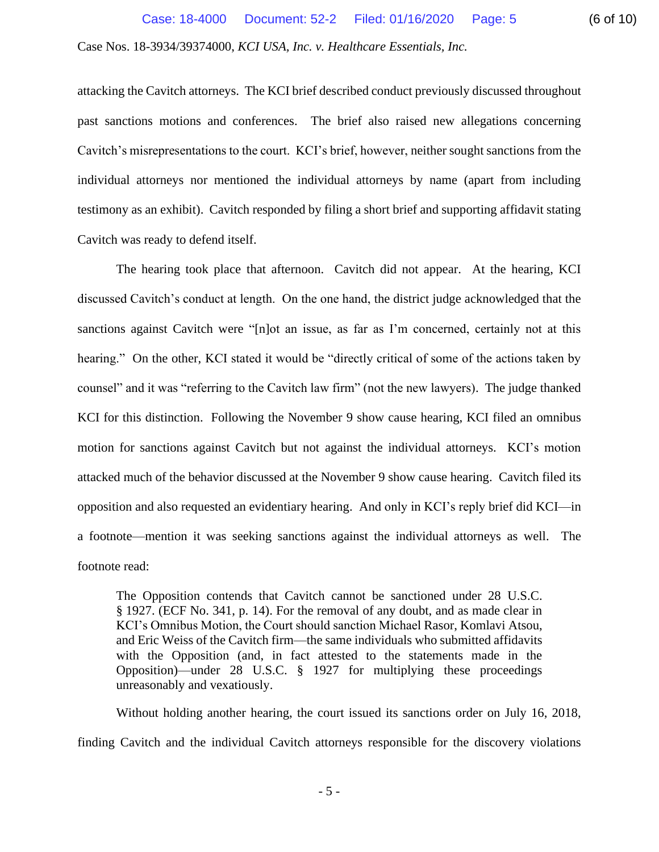attacking the Cavitch attorneys. The KCI brief described conduct previously discussed throughout past sanctions motions and conferences. The brief also raised new allegations concerning Cavitch's misrepresentations to the court. KCI's brief, however, neither sought sanctions from the individual attorneys nor mentioned the individual attorneys by name (apart from including testimony as an exhibit). Cavitch responded by filing a short brief and supporting affidavit stating Cavitch was ready to defend itself.

The hearing took place that afternoon. Cavitch did not appear. At the hearing, KCI discussed Cavitch's conduct at length. On the one hand, the district judge acknowledged that the sanctions against Cavitch were "[n]ot an issue, as far as I'm concerned, certainly not at this hearing." On the other, KCI stated it would be "directly critical of some of the actions taken by counsel" and it was "referring to the Cavitch law firm" (not the new lawyers). The judge thanked KCI for this distinction. Following the November 9 show cause hearing, KCI filed an omnibus motion for sanctions against Cavitch but not against the individual attorneys. KCI's motion attacked much of the behavior discussed at the November 9 show cause hearing. Cavitch filed its opposition and also requested an evidentiary hearing. And only in KCI's reply brief did KCI—in a footnote—mention it was seeking sanctions against the individual attorneys as well. The footnote read:

The Opposition contends that Cavitch cannot be sanctioned under 28 U.S.C. § 1927. (ECF No. 341, p. 14). For the removal of any doubt, and as made clear in KCI's Omnibus Motion, the Court should sanction Michael Rasor, Komlavi Atsou, and Eric Weiss of the Cavitch firm—the same individuals who submitted affidavits with the Opposition (and, in fact attested to the statements made in the Opposition)—under 28 U.S.C. § 1927 for multiplying these proceedings unreasonably and vexatiously.

Without holding another hearing, the court issued its sanctions order on July 16, 2018, finding Cavitch and the individual Cavitch attorneys responsible for the discovery violations

- 5 -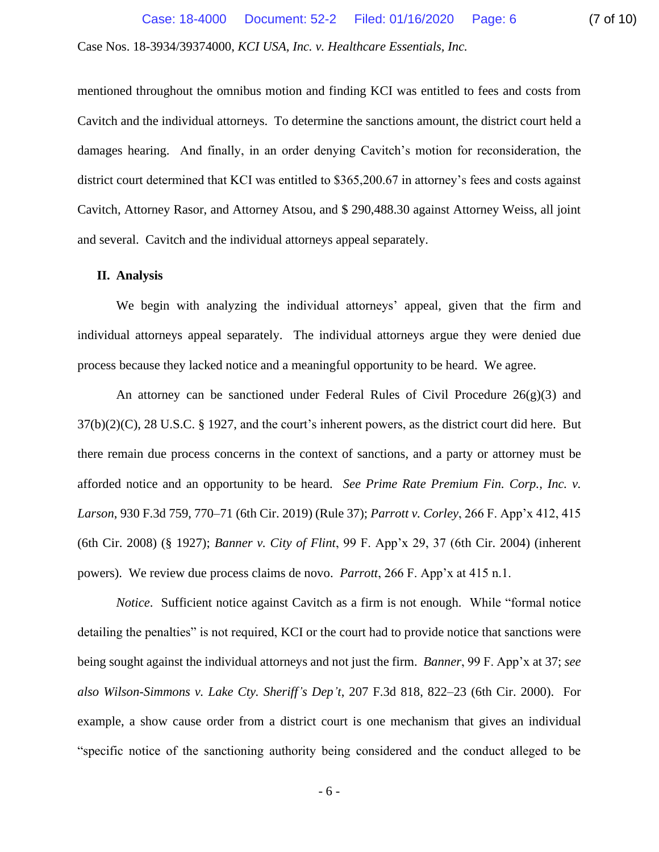mentioned throughout the omnibus motion and finding KCI was entitled to fees and costs from Cavitch and the individual attorneys. To determine the sanctions amount, the district court held a damages hearing. And finally, in an order denying Cavitch's motion for reconsideration, the district court determined that KCI was entitled to \$365,200.67 in attorney's fees and costs against Cavitch, Attorney Rasor, and Attorney Atsou, and \$ 290,488.30 against Attorney Weiss, all joint and several. Cavitch and the individual attorneys appeal separately.

### **II. Analysis**

We begin with analyzing the individual attorneys' appeal, given that the firm and individual attorneys appeal separately. The individual attorneys argue they were denied due process because they lacked notice and a meaningful opportunity to be heard. We agree.

An attorney can be sanctioned under Federal Rules of Civil Procedure  $26(g)(3)$  and  $37(b)(2)(C)$ , 28 U.S.C. § 1927, and the court's inherent powers, as the district court did here. But there remain due process concerns in the context of sanctions, and a party or attorney must be afforded notice and an opportunity to be heard. *See Prime Rate Premium Fin. Corp., Inc. v. Larson*, 930 F.3d 759, 770–71 (6th Cir. 2019) (Rule 37); *Parrott v. Corley*, 266 F. App'x 412, 415 (6th Cir. 2008) (§ 1927); *Banner v. City of Flint*, 99 F. App'x 29, 37 (6th Cir. 2004) (inherent powers). We review due process claims de novo. *Parrott*, 266 F. App'x at 415 n.1.

*Notice*. Sufficient notice against Cavitch as a firm is not enough. While "formal notice detailing the penalties" is not required, KCI or the court had to provide notice that sanctions were being sought against the individual attorneys and not just the firm. *Banner*, 99 F. App'x at 37; *see also Wilson-Simmons v. Lake Cty. Sheriff's Dep't*, 207 F.3d 818, 822–23 (6th Cir. 2000). For example, a show cause order from a district court is one mechanism that gives an individual "specific notice of the sanctioning authority being considered and the conduct alleged to be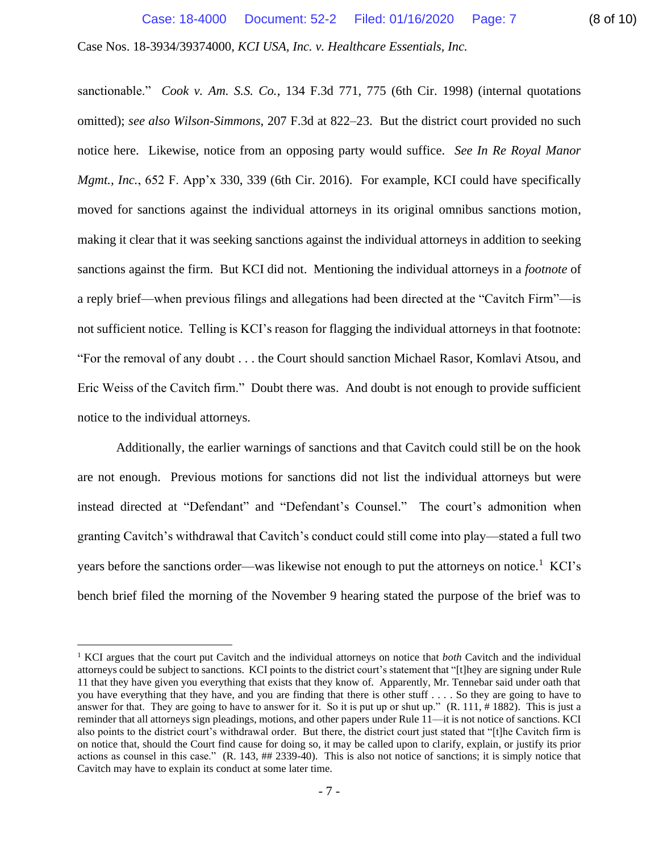sanctionable." *Cook v. Am. S.S. Co.*, 134 F.3d 771, 775 (6th Cir. 1998) (internal quotations omitted); *see also Wilson-Simmons*, 207 F.3d at 822–23. But the district court provided no such notice here. Likewise, notice from an opposing party would suffice. *See In Re Royal Manor Mgmt., Inc.,* 652 F. App'x 330, 339 (6th Cir. 2016). For example, KCI could have specifically moved for sanctions against the individual attorneys in its original omnibus sanctions motion, making it clear that it was seeking sanctions against the individual attorneys in addition to seeking sanctions against the firm. But KCI did not. Mentioning the individual attorneys in a *footnote* of a reply brief—when previous filings and allegations had been directed at the "Cavitch Firm"—is not sufficient notice. Telling is KCI's reason for flagging the individual attorneys in that footnote: "For the removal of any doubt . . . the Court should sanction Michael Rasor, Komlavi Atsou, and Eric Weiss of the Cavitch firm." Doubt there was. And doubt is not enough to provide sufficient notice to the individual attorneys.

Additionally, the earlier warnings of sanctions and that Cavitch could still be on the hook are not enough. Previous motions for sanctions did not list the individual attorneys but were instead directed at "Defendant" and "Defendant's Counsel." The court's admonition when granting Cavitch's withdrawal that Cavitch's conduct could still come into play—stated a full two years before the sanctions order—was likewise not enough to put the attorneys on notice.<sup>1</sup> KCI's bench brief filed the morning of the November 9 hearing stated the purpose of the brief was to

<sup>1</sup> KCI argues that the court put Cavitch and the individual attorneys on notice that *both* Cavitch and the individual attorneys could be subject to sanctions. KCI points to the district court's statement that "[t]hey are signing under Rule 11 that they have given you everything that exists that they know of. Apparently, Mr. Tennebar said under oath that you have everything that they have, and you are finding that there is other stuff . . . . So they are going to have to answer for that. They are going to have to answer for it. So it is put up or shut up."  $(R. 111, # 1882)$ . This is just a reminder that all attorneys sign pleadings, motions, and other papers under Rule 11—it is not notice of sanctions. KCI also points to the district court's withdrawal order. But there, the district court just stated that "[t]he Cavitch firm is on notice that, should the Court find cause for doing so, it may be called upon to clarify, explain, or justify its prior actions as counsel in this case." (R. 143, ## 2339-40). This is also not notice of sanctions; it is simply notice that Cavitch may have to explain its conduct at some later time.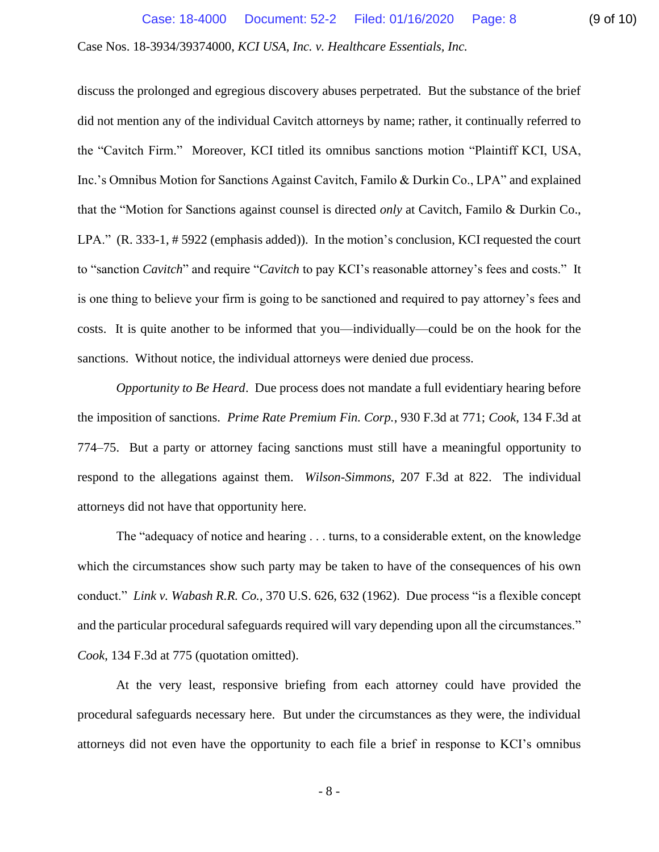discuss the prolonged and egregious discovery abuses perpetrated. But the substance of the brief did not mention any of the individual Cavitch attorneys by name; rather, it continually referred to the "Cavitch Firm." Moreover, KCI titled its omnibus sanctions motion "Plaintiff KCI, USA, Inc.'s Omnibus Motion for Sanctions Against Cavitch, Familo & Durkin Co., LPA" and explained that the "Motion for Sanctions against counsel is directed *only* at Cavitch, Familo & Durkin Co., LPA." (R. 333-1, # 5922 (emphasis added)). In the motion's conclusion, KCI requested the court to "sanction *Cavitch*" and require "*Cavitch* to pay KCI's reasonable attorney's fees and costs." It is one thing to believe your firm is going to be sanctioned and required to pay attorney's fees and costs. It is quite another to be informed that you—individually—could be on the hook for the sanctions. Without notice, the individual attorneys were denied due process.

*Opportunity to Be Heard*. Due process does not mandate a full evidentiary hearing before the imposition of sanctions. *Prime Rate Premium Fin. Corp.*, 930 F.3d at 771; *Cook*, 134 F.3d at 774–75. But a party or attorney facing sanctions must still have a meaningful opportunity to respond to the allegations against them. *Wilson-Simmons*, 207 F.3d at 822. The individual attorneys did not have that opportunity here.

The "adequacy of notice and hearing . . . turns, to a considerable extent, on the knowledge which the circumstances show such party may be taken to have of the consequences of his own conduct." *Link v. Wabash R.R. Co.*, 370 U.S. 626, 632 (1962). Due process "is a flexible concept and the particular procedural safeguards required will vary depending upon all the circumstances." *Cook*, 134 F.3d at 775 (quotation omitted).

At the very least, responsive briefing from each attorney could have provided the procedural safeguards necessary here. But under the circumstances as they were, the individual attorneys did not even have the opportunity to each file a brief in response to KCI's omnibus